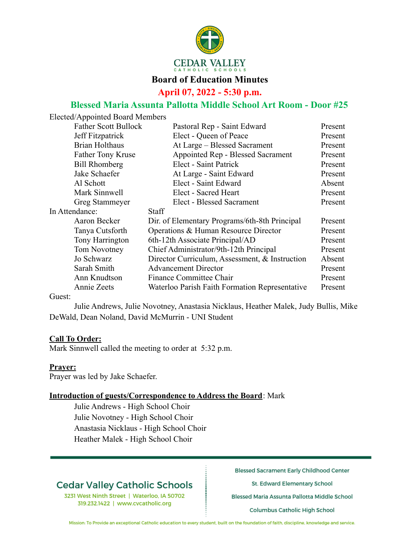

#### **Board of Education Minutes**

**April 07, 2022 - 5:30 p.m.**

### **Blessed Maria Assunta Pallotta Middle School Art Room - Door #25**

| Elected/Appointed Board Members                           |  |  |
|-----------------------------------------------------------|--|--|
| Present<br>Pastoral Rep - Saint Edward                    |  |  |
| Elect - Queen of Peace<br>Present                         |  |  |
| At Large – Blessed Sacrament<br>Present                   |  |  |
| Appointed Rep - Blessed Sacrament<br>Present              |  |  |
| Elect - Saint Patrick<br>Present                          |  |  |
| At Large - Saint Edward<br>Present                        |  |  |
| Elect - Saint Edward<br>Absent                            |  |  |
| Elect - Sacred Heart<br>Present                           |  |  |
| Elect - Blessed Sacrament<br>Present                      |  |  |
|                                                           |  |  |
| Dir. of Elementary Programs/6th-8th Principal<br>Present  |  |  |
| Operations & Human Resource Director<br>Present           |  |  |
| 6th-12th Associate Principal/AD<br>Present                |  |  |
| Chief Administrator/9th-12th Principal<br>Present         |  |  |
| Absent<br>Director Curriculum, Assessment, & Instruction  |  |  |
| Present                                                   |  |  |
| Finance Committee Chair<br>Present                        |  |  |
| Waterloo Parish Faith Formation Representative<br>Present |  |  |
|                                                           |  |  |

Guest:

Julie Andrews, Julie Novotney, Anastasia Nicklaus, Heather Malek, Judy Bullis, Mike DeWald, Dean Noland, David McMurrin - UNI Student

#### **Call To Order:**

Mark Sinnwell called the meeting to order at 5:32 p.m.

**Prayer:**

Prayer was led by Jake Schaefer.

#### **Introduction of guests/Correspondence to Address the Board**: Mark

Julie Andrews - High School Choir Julie Novotney - High School Choir Anastasia Nicklaus - High School Choir Heather Malek - High School Choir

## **Cedar Valley Catholic Schools**

3231 West Ninth Street | Waterloo, IA 50702 319.232.1422 | www.cvcatholic.org

**Blessed Sacrament Early Childhood Center** 

St. Edward Elementary School

Blessed Maria Assunta Pallotta Middle School

**Columbus Catholic High School** 

Mission: To Provide an exceptional Catholic education to every student, built on the foundation of faith, discipline, knowledge and service.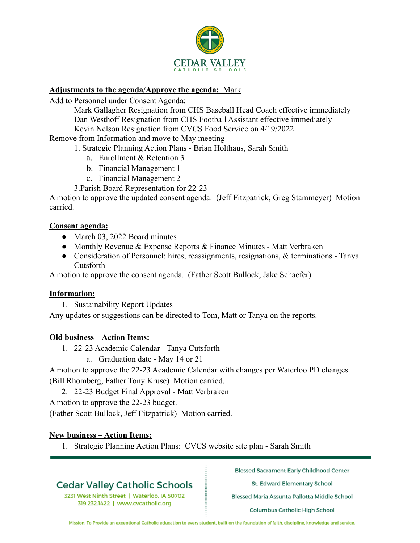

#### **Adjustments to the agenda/Approve the agenda:** Mark

Add to Personnel under Consent Agenda:

Mark Gallagher Resignation from CHS Baseball Head Coach effective immediately Dan Westhoff Resignation from CHS Football Assistant effective immediately Kevin Nelson Resignation from CVCS Food Service on 4/19/2022

Remove from Information and move to May meeting

1. Strategic Planning Action Plans - Brian Holthaus, Sarah Smith

- a. Enrollment & Retention 3
- b. Financial Management 1
- c. Financial Management 2
- 3.Parish Board Representation for 22-23

A motion to approve the updated consent agenda. (Jeff Fitzpatrick, Greg Stammeyer) Motion carried.

#### **Consent agenda:**

- March 03, 2022 Board minutes
- Monthly Revenue & Expense Reports  $\&$  Finance Minutes Matt Verbraken
- Consideration of Personnel: hires, reassignments, resignations, & terminations Tanya Cutsforth

A motion to approve the consent agenda. (Father Scott Bullock, Jake Schaefer)

#### **Information:**

1. Sustainability Report Updates

Any updates or suggestions can be directed to Tom, Matt or Tanya on the reports.

#### **Old business – Action Items:**

- 1. 22-23 Academic Calendar Tanya Cutsforth
	- a. Graduation date May 14 or 21

A motion to approve the 22-23 Academic Calendar with changes per Waterloo PD changes. (Bill Rhomberg, Father Tony Kruse) Motion carried.

2. 22-23 Budget Final Approval - Matt Verbraken

A motion to approve the 22-23 budget.

(Father Scott Bullock, Jeff Fitzpatrick) Motion carried.

#### **New business – Action Items:**

1. Strategic Planning Action Plans: CVCS website site plan - Sarah Smith

## **Cedar Valley Catholic Schools**

3231 West Ninth Street | Waterloo, IA 50702 319.232.1422 | www.cvcatholic.org

**Blessed Sacrament Early Childhood Center** 

St. Edward Elementary School

Blessed Maria Assunta Pallotta Middle School

**Columbus Catholic High School** 

Mission: To Provide an exceptional Catholic education to every student, built on the foundation of faith, discipline, knowledge and service.